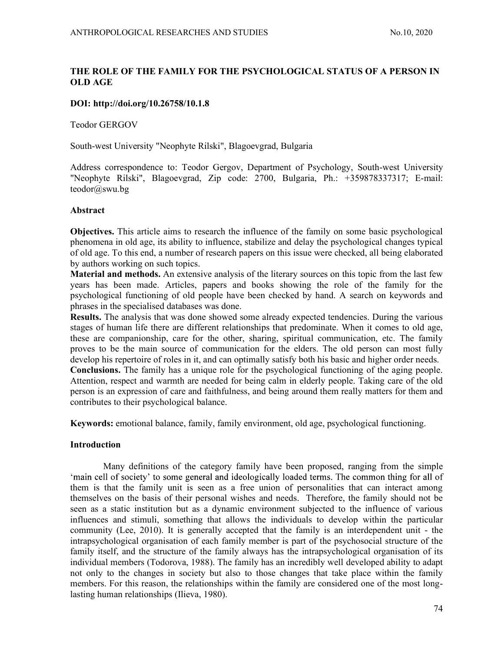# THE ROLE OF THE FAMILY FOR THE PSYCHOLOGICAL STATUS OF A PERSON IN OLD AGE

## DOI: http://doi.org/10.26758/10.1.8

Teodor GERGOV

South-west University "Neophyte Rilski", Blagoevgrad, Bulgaria

 Address correspondence to: Teodor Gergov, Department of Psychology, South-west University "Neophyte Rilski", Blagoevgrad, Zip code: 2700, Bulgaria, Ph.: +359878337317; E-mail: teodor@swu.bg

## Abstract

Objectives. This article aims to research the influence of the family on some basic psychological phenomena in old age, its ability to influence, stabilize and delay the psychological changes typical of old age. To this end, a number of research papers on this issue were checked, all being elaborated by authors working on such topics.

Material and methods. An extensive analysis of the literary sources on this topic from the last few years has been made. Articles, papers and books showing the role of the family for the psychological functioning of old people have been checked by hand. A search on keywords and phrases in the specialised databases was done.

Results. The analysis that was done showed some already expected tendencies. During the various stages of human life there are different relationships that predominate. When it comes to old age, these are companionship, care for the other, sharing, spiritual communication, etc. The family proves to be the main source of communication for the elders. The old person can most fully develop his repertoire of roles in it, and can optimally satisfy both his basic and higher order needs. Conclusions. The family has a unique role for the psychological functioning of the aging people. Attention, respect and warmth are needed for being calm in elderly people. Taking care of the old person is an expression of care and faithfulness, and being around them really matters for them and contributes to their psychological balance.

Keywords: emotional balance, family, family environment, old age, psychological functioning.

### Introduction

Many definitions of the category family have been proposed, ranging from the simple 'main cell of society' to some general and ideologically loaded terms. The common thing for all of them is that the family unit is seen as a free union of personalities that can interact among themselves on the basis of their personal wishes and needs. Therefore, the family should not be seen as a static institution but as a dynamic environment subjected to the influence of various influences and stimuli, something that allows the individuals to develop within the particular community (Lee, 2010). It is generally accepted that the family is an interdependent unit - the intrapsychological organisation of each family member is part of the psychosocial structure of the family itself, and the structure of the family always has the intrapsychological organisation of its individual members (Todorova, 1988). The family has an incredibly well developed ability to adapt not only to the changes in society but also to those changes that take place within the family members. For this reason, the relationships within the family are considered one of the most longlasting human relationships (Ilieva, 1980).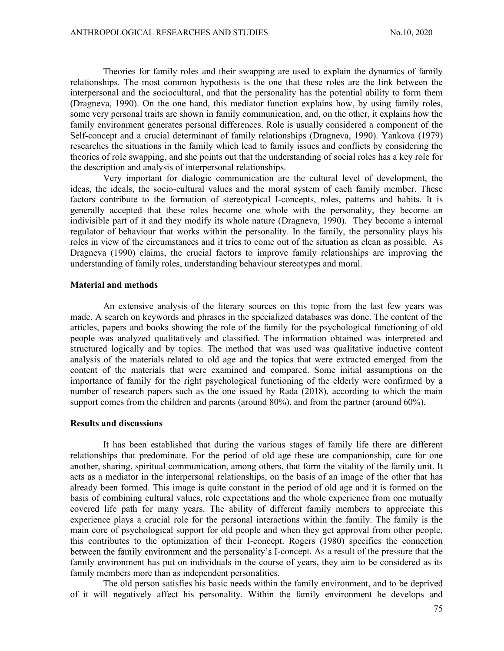Theories for family roles and their swapping are used to explain the dynamics of family relationships. The most common hypothesis is the one that these roles are the link between the interpersonal and the sociocultural, and that the personality has the potential ability to form them (Dragneva, 1990). On the one hand, this mediator function explains how, by using family roles, some very personal traits are shown in family communication, and, on the other, it explains how the family environment generates personal differences. Role is usually considered a component of the Self-concept and a crucial determinant of family relationships (Dragneva, 1990). Yankova (1979) researches the situations in the family which lead to family issues and conflicts by considering the theories of role swapping, and she points out that the understanding of social roles has a key role for the description and analysis of interpersonal relationships.

Very important for dialogic communication are the cultural level of development, the ideas, the ideals, the socio-cultural values and the moral system of each family member. These factors contribute to the formation of stereotypical I-concepts, roles, patterns and habits. It is generally accepted that these roles become one whole with the personality, they become an indivisible part of it and they modify its whole nature (Dragneva, 1990). They become a internal regulator of behaviour that works within the personality. In the family, the personality plays his roles in view of the circumstances and it tries to come out of the situation as clean as possible. As Dragneva (1990) claims, the crucial factors to improve family relationships are improving the understanding of family roles, understanding behaviour stereotypes and moral.

### Material and methods

An extensive analysis of the literary sources on this topic from the last few years was made. A search on keywords and phrases in the specialized databases was done. The content of the articles, papers and books showing the role of the family for the psychological functioning of old people was analyzed qualitatively and classified. The information obtained was interpreted and structured logically and by topics. The method that was used was qualitative inductive content analysis of the materials related to old age and the topics that were extracted emerged from the content of the materials that were examined and compared. Some initial assumptions on the importance of family for the right psychological functioning of the elderly were confirmed by a number of research papers such as the one issued by Rada (2018), according to which the main support comes from the children and parents (around 80%), and from the partner (around 60%).

#### Results and discussions

It has been established that during the various stages of family life there are different relationships that predominate. For the period of old age these are companionship, care for one another, sharing, spiritual communication, among others, that form the vitality of the family unit. It acts as a mediator in the interpersonal relationships, on the basis of an image of the other that has already been formed. This image is quite constant in the period of old age and it is formed on the basis of combining cultural values, role expectations and the whole experience from one mutually covered life path for many years. The ability of different family members to appreciate this experience plays a crucial role for the personal interactions within the family. The family is the main core of psychological support for old people and when they get approval from other people, this contributes to the optimization of their I-concept. Rogers (1980) specifies the connection between the family environment and the personality's I-concept. As a result of the pressure that the family environment has put on individuals in the course of years, they aim to be considered as its family members more than as independent personalities.

The old person satisfies his basic needs within the family environment, and to be deprived of it will negatively affect his personality. Within the family environment he develops and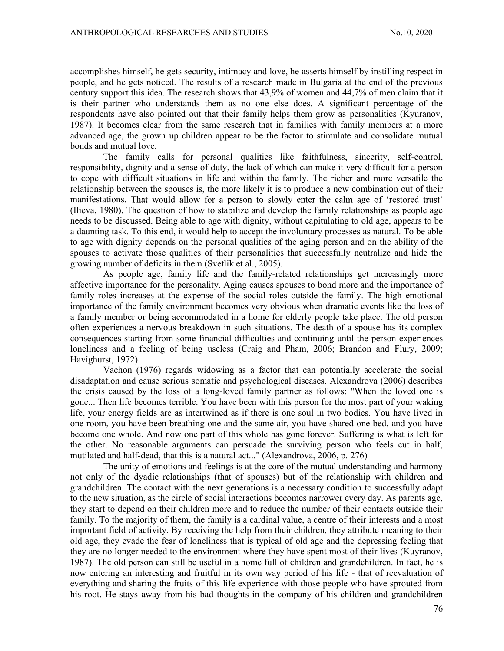accomplishes himself, he gets security, intimacy and love, he asserts himself by instilling respect in people, and he gets noticed. The results of a research made in Bulgaria at the end of the previous century support this idea. The research shows that 43,9% of women and 44,7% of men claim that it is their partner who understands them as no one else does. A significant percentage of the respondents have also pointed out that their family helps them grow as personalities (Kyuranov, 1987). It becomes clear from the same research that in families with family members at a more advanced age, the grown up children appear to be the factor to stimulate and consolidate mutual bonds and mutual love.

The family calls for personal qualities like faithfulness, sincerity, self-control, responsibility, dignity and a sense of duty, the lack of which can make it very difficult for a person to cope with difficult situations in life and within the family. The richer and more versatile the relationship between the spouses is, the more likely it is to produce a new combination out of their manifestations. That would allow for a person to slowly enter the calm age of 'restored trust' (Ilieva, 1980). The question of how to stabilize and develop the family relationships as people age needs to be discussed. Being able to age with dignity, without capitulating to old age, appears to be a daunting task. To this end, it would help to accept the involuntary processes as natural. To be able to age with dignity depends on the personal qualities of the aging person and on the ability of the spouses to activate those qualities of their personalities that successfully neutralize and hide the growing number of deficits in them (Svetlik et al., 2005).

As people age, family life and the family-related relationships get increasingly more affective importance for the personality. Aging causes spouses to bond more and the importance of family roles increases at the expense of the social roles outside the family. The high emotional importance of the family environment becomes very obvious when dramatic events like the loss of a family member or being accommodated in a home for elderly people take place. The old person often experiences a nervous breakdown in such situations. The death of a spouse has its complex consequences starting from some financial difficulties and continuing until the person experiences loneliness and a feeling of being useless (Craig and Pham, 2006; Brandon and Flury, 2009; Havighurst, 1972).

Vachon (1976) regards widowing as a factor that can potentially accelerate the social disadaptation and cause serious somatic and psychological diseases. Alexandrova (2006) describes the crisis caused by the loss of a long-loved family partner as follows: "When the loved one is gone... Then life becomes terrible. You have been with this person for the most part of your waking life, your energy fields are as intertwined as if there is one soul in two bodies. You have lived in one room, you have been breathing one and the same air, you have shared one bed, and you have become one whole. And now one part of this whole has gone forever. Suffering is what is left for the other. No reasonable arguments can persuade the surviving person who feels cut in half, mutilated and half-dead, that this is a natural act..." (Alexandrova, 2006, p. 276)

The unity of emotions and feelings is at the core of the mutual understanding and harmony not only of the dyadic relationships (that of spouses) but of the relationship with children and grandchildren. The contact with the next generations is a necessary condition to successfully adapt to the new situation, as the circle of social interactions becomes narrower every day. As parents age, they start to depend on their children more and to reduce the number of their contacts outside their family. To the majority of them, the family is a cardinal value, a centre of their interests and a most important field of activity. By receiving the help from their children, they attribute meaning to their old age, they evade the fear of loneliness that is typical of old age and the depressing feeling that they are no longer needed to the environment where they have spent most of their lives (Kuyranov, 1987). The old person can still be useful in a home full of children and grandchildren. In fact, he is now entering an interesting and fruitful in its own way period of his life - that of reevaluation of everything and sharing the fruits of this life experience with those people who have sprouted from his root. He stays away from his bad thoughts in the company of his children and grandchildren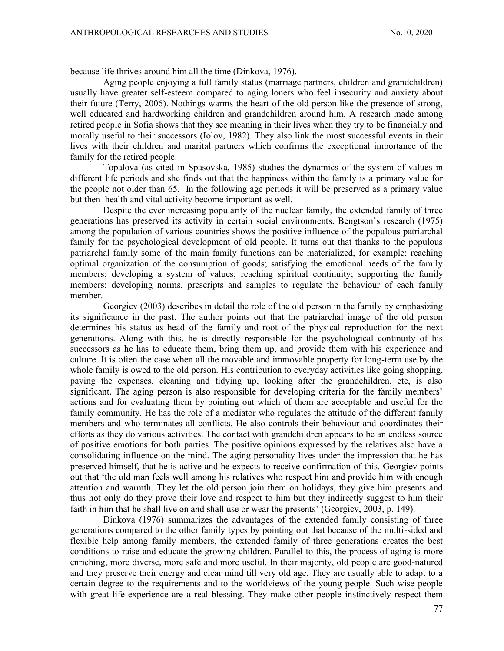because life thrives around him all the time (Dinkova, 1976).

Aging people enjoying a full family status (marriage partners, children and grandchildren) usually have greater self-esteem compared to aging loners who feel insecurity and anxiety about their future (Terry, 2006). Nothings warms the heart of the old person like the presence of strong, well educated and hardworking children and grandchildren around him. A research made among retired people in Sofia shows that they see meaning in their lives when they try to be financially and morally useful to their successors (Iolov, 1982). They also link the most successful events in their lives with their children and marital partners which confirms the exceptional importance of the family for the retired people.

Topalova (as cited in Spasovska, 1985) studies the dynamics of the system of values in different life periods and she finds out that the happiness within the family is a primary value for the people not older than 65. In the following age periods it will be preserved as a primary value but then health and vital activity become important as well.

Despite the ever increasing popularity of the nuclear family, the extended family of three generations has preserved its activity in certain social environments. Bengtson's research (1975) among the population of various countries shows the positive influence of the populous patriarchal family for the psychological development of old people. It turns out that thanks to the populous patriarchal family some of the main family functions can be materialized, for example: reaching optimal organization of the consumption of goods; satisfying the emotional needs of the family members; developing a system of values; reaching spiritual continuity; supporting the family members; developing norms, prescripts and samples to regulate the behaviour of each family member.

Georgiev (2003) describes in detail the role of the old person in the family by emphasizing its significance in the past. The author points out that the patriarchal image of the old person determines his status as head of the family and root of the physical reproduction for the next generations. Along with this, he is directly responsible for the psychological continuity of his successors as he has to educate them, bring them up, and provide them with his experience and culture. It is often the case when all the movable and immovable property for long-term use by the whole family is owed to the old person. His contribution to everyday activities like going shopping, paying the expenses, cleaning and tidying up, looking after the grandchildren, etc, is also significant. The aging person is also responsible for developing criteria for the family members' actions and for evaluating them by pointing out which of them are acceptable and useful for the family community. He has the role of a mediator who regulates the attitude of the different family members and who terminates all conflicts. He also controls their behaviour and coordinates their efforts as they do various activities. The contact with grandchildren appears to be an endless source of positive emotions for both parties. The positive opinions expressed by the relatives also have a consolidating influence on the mind. The aging personality lives under the impression that he has preserved himself, that he is active and he expects to receive confirmation of this. Georgiev points out that 'the old man feels well among his relatives who respect him and provide him with enough attention and warmth. They let the old person join them on holidays, they give him presents and thus not only do they prove their love and respect to him but they indirectly suggest to him their faith in him that he shall live on and shall use or wear the presents' (Georgiev, 2003, p. 149).

Dinkova (1976) summarizes the advantages of the extended family consisting of three generations compared to the other family types by pointing out that because of the multi-sided and flexible help among family members, the extended family of three generations creates the best conditions to raise and educate the growing children. Parallel to this, the process of aging is more enriching, more diverse, more safe and more useful. In their majority, old people are good-natured and they preserve their energy and clear mind till very old age. They are usually able to adapt to a certain degree to the requirements and to the worldviews of the young people. Such wise people with great life experience are a real blessing. They make other people instinctively respect them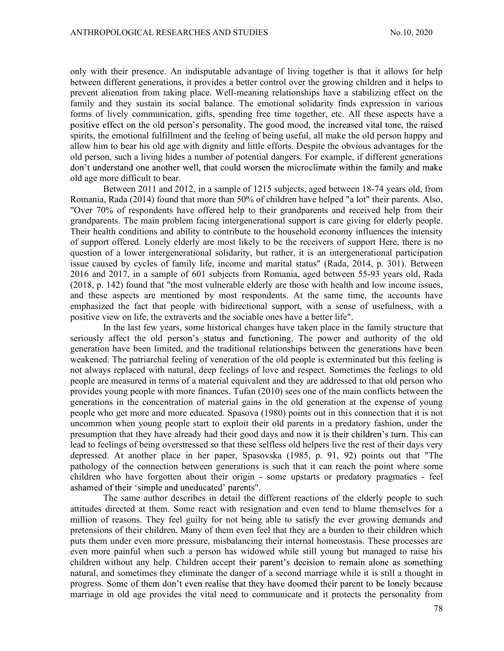only with their presence. An indisputable advantage of living together is that it allows for help between different generations, it provides a better control over the growing children and it helps to prevent alienation from taking place. Well-meaning relationships have a stabilizing effect on the family and they sustain its social balance. The emotional solidarity finds expression in various forms of lively communication, gifts, spending free time together, etc. All these aspects have a positive effect on the old person's personality. The good mood, the increased vital tone, the raised spirits, the emotional fulfillment and the feeling of being useful, all make the old person happy and allow him to bear his old age with dignity and little efforts. Despite the obvious advantages for the old person, such a living hides a number of potential dangers. For example, if different generations don't understand one another well, that could worsen the microclimate within the family and make old age more difficult to bear.

Between 2011 and 2012, in a sample of 1215 subjects, aged between 18-74 years old, from Romania, Rada (2014) found that more than 50% of children have helped "a lot" their parents. Also, "Over 70% of respondents have offered help to their grandparents and received help from their grandparents. The main problem facing intergenerational support is care giving for elderly people. Their health conditions and ability to contribute to the household economy influences the intensity of support offered. Lonely elderly are most likely to be the receivers of support Here, there is no question of a lower intergenerational solidarity, but rather, it is an intergenerational participation issue caused by cycles of family life, income and marital status" (Rada, 2014, p. 301). Between 2016 and 2017, in a sample of 601 subjects from Romania, aged between 55-93 years old, Rada (2018, p. 142) found that "the most vulnerable elderly are those with health and low income issues, and these aspects are mentioned by most respondents. At the same time, the accounts have emphasized the fact that people with bidirectional support, with a sense of usefulness, with a positive view on life, the extraverts and the sociable ones have a better life".

In the last few years, some historical changes have taken place in the family structure that seriously affect the old person's status and functioning. The power and authority of the old generation have been limited, and the traditional relationships between the generations have been weakened. The patriarchal feeling of veneration of the old people is exterminated but this feeling is not always replaced with natural, deep feelings of love and respect. Sometimes the feelings to old people are measured in terms of a material equivalent and they are addressed to that old person who provides young people with more finances. Tufan (2010) sees one of the main conflicts between the generations in the concentration of material gains in the old generation at the expense of young people who get more and more educated. Spasova (1980) points out in this connection that it is not uncommon when young people start to exploit their old parents in a predatory fashion, under the presumption that they have already had their good days and now it is their children's turn. This can lead to feelings of being overstressed so that these selfless old helpers live the rest of their days very depressed. At another place in her paper, Spasovska (1985, p. 91, 92) points out that "The pathology of the connection between generations is such that it can reach the point where some children who have forgotten about their origin - some upstarts or predatory pragmatics - feel ashamed of their 'simple and uneducated' parents".<br>The same author describes in detail the different reactions of the elderly people to such

attitudes directed at them. Some react with resignation and even tend to blame themselves for a million of reasons. They feel guilty for not being able to satisfy the ever growing demands and pretensions of their children. Many of them even feel that they are a burden to their children which puts them under even more pressure, misbalancing their internal homeostasis. These processes are even more painful when such a person has widowed while still young but managed to raise his children without any help. Children accept their parent's decision to remain alone as something natural, and sometimes they eliminate the danger of a second marriage while it is still a thought in progress. Some of them don't even realise that they have doomed their parent to be lonely because marriage in old age provides the vital need to communicate and it protects the personality from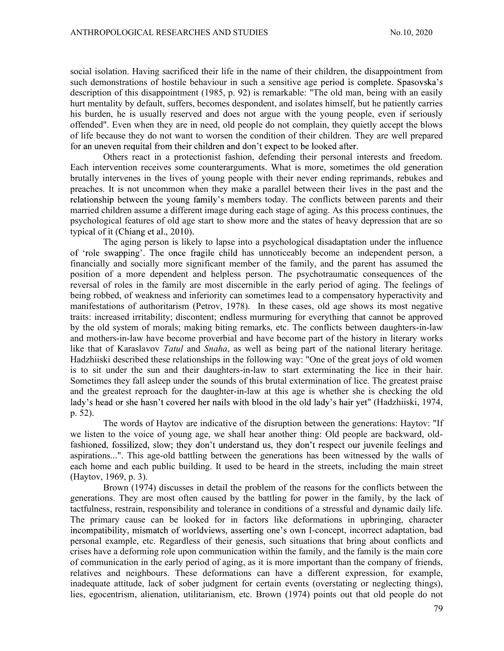social isolation. Having sacrificed their life in the name of their children, the disappointment from such demonstrations of hostile behaviour in such a sensitive age period is complete. Spasovska's description of this disappointment (1985, p. 92) is remarkable: "The old man, being with an easily hurt mentality by default, suffers, becomes despondent, and isolates himself, but he patiently carries his burden, he is usually reserved and does not argue with the young people, even if seriously offended". Even when they are in need, old people do not complain, they quietly accept the blows of life because they do not want to worsen the condition of their children. They are well prepared for an uneven requital from their children and don't expect to be looked after.

Others react in a protectionist fashion, defending their personal interests and freedom. Each intervention receives some counterarguments. What is more, sometimes the old generation brutally intervenes in the lives of young people with their never ending reprimands, rebukes and preaches. It is not uncommon when they make a parallel between their lives in the past and the relationship between the young family's members today. The conflicts between parents and their married children assume a different image during each stage of aging. As this process continues, the psychological features of old age start to show more and the states of heavy depression that are so typical of it (Chiang et al., 2010).

The aging person is likely to lapse into a psychological disadaptation under the influence of 'role swapping'. The once fragile child has unnoticeably become an independent person, a financially and socially more significant member of the family, and the parent has assumed the position of a more dependent and helpless person. The psychotraumatic consequences of the reversal of roles in the family are most discernible in the early period of aging. The feelings of being robbed, of weakness and inferiority can sometimes lead to a compensatory hyperactivity and manifestations of authoritarism (Petrov, 1978). In these cases, old age shows its most negative traits: increased irritability; discontent; endless murmuring for everything that cannot be approved by the old system of morals; making biting remarks, etc. The conflicts between daughters-in-law and mothers-in-law have become proverbial and have become part of the history in literary works like that of Karaslavov Tatul and Snaha, as well as being part of the national literary heritage. Hadzhiiski described these relationships in the following way: "One of the great joys of old women is to sit under the sun and their daughters-in-law to start exterminating the lice in their hair. Sometimes they fall asleep under the sounds of this brutal extermination of lice. The greatest praise and the greatest reproach for the daughter-in-law at this age is whether she is checking the old lady's head or she hasn't covered her nails with blood in the old lady's hair yet" (Hadzhiiski, 1974, p. 52).

The words of Haytov are indicative of the disruption between the generations: Haytov: "If we listen to the voice of young age, we shall hear another thing: Old people are backward, oldfashioned, fossilized, slow; they don't understand us, they don't respect our juvenile feelings and aspirations...". This age-old battling between the generations has been witnessed by the walls of each home and each public building. It used to be heard in the streets, including the main street (Haytov, 1969, p. 3).

Brown (1974) discusses in detail the problem of the reasons for the conflicts between the generations. They are most often caused by the battling for power in the family, by the lack of tactfulness, restrain, responsibility and tolerance in conditions of a stressful and dynamic daily life. The primary cause can be looked for in factors like deformations in upbringing, character incompatibility, mismatch of worldviews, asserting one's own I-concept, incorrect adaptation, bad personal example, etc. Regardless of their genesis, such situations that bring about conflicts and crises have a deforming role upon communication within the family, and the family is the main core of communication in the early period of aging, as it is more important than the company of friends, relatives and neighbours. These deformations can have a different expression, for example, inadequate attitude, lack of sober judgment for certain events (overstating or neglecting things), lies, egocentrism, alienation, utilitarianism, etc. Brown (1974) points out that old people do not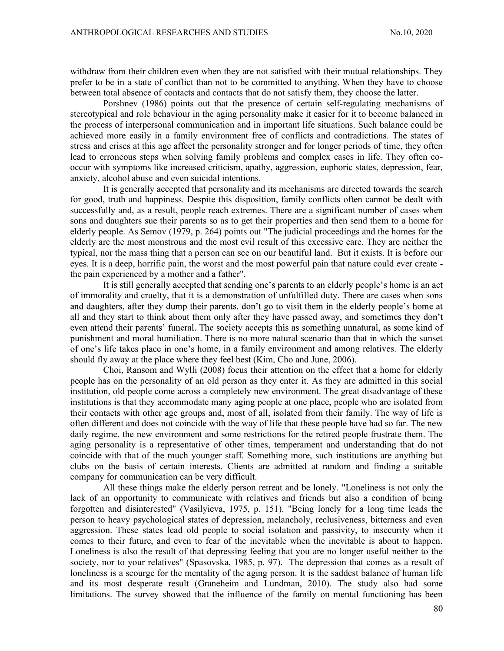withdraw from their children even when they are not satisfied with their mutual relationships. They prefer to be in a state of conflict than not to be committed to anything. When they have to choose between total absence of contacts and contacts that do not satisfy them, they choose the latter.

Porshnev (1986) points out that the presence of certain self-regulating mechanisms of stereotypical and role behaviour in the aging personality make it easier for it to become balanced in the process of interpersonal communication and in important life situations. Such balance could be achieved more easily in a family environment free of conflicts and contradictions. The states of stress and crises at this age affect the personality stronger and for longer periods of time, they often lead to erroneous steps when solving family problems and complex cases in life. They often cooccur with symptoms like increased criticism, apathy, aggression, euphoric states, depression, fear, anxiety, alcohol abuse and even suicidal intentions.

It is generally accepted that personality and its mechanisms are directed towards the search for good, truth and happiness. Despite this disposition, family conflicts often cannot be dealt with successfully and, as a result, people reach extremes. There are a significant number of cases when sons and daughters sue their parents so as to get their properties and then send them to a home for elderly people. As Semov (1979, p. 264) points out "The judicial proceedings and the homes for the elderly are the most monstrous and the most evil result of this excessive care. They are neither the typical, nor the mass thing that a person can see on our beautiful land. But it exists. It is before our eyes. It is a deep, horrific pain, the worst and the most powerful pain that nature could ever create the pain experienced by a mother and a father".

It is still generally accepted that sending one's parents to an elderly people's home is an act of immorality and cruelty, that it is a demonstration of unfulfilled duty. There are cases when sons and daughters, after they dump their parents, don't go to visit them in the elderly people's home at all and they start to think about them only after they have passed away, and sometimes they don't even attend their parents' funeral. The society accepts this as something unnatural, as some kind of punishment and moral humiliation. There is no more natural scenario than that in which the sunset of one's life takes place in one's home, in a family environment and among relatives. The elderly should fly away at the place where they feel best (Kim, Cho and June, 2006).

Choi, Ransom and Wylli (2008) focus their attention on the effect that a home for elderly people has on the personality of an old person as they enter it. As they are admitted in this social institution, old people come across a completely new environment. The great disadvantage of these institutions is that they accommodate many aging people at one place, people who are isolated from their contacts with other age groups and, most of all, isolated from their family. The way of life is often different and does not coincide with the way of life that these people have had so far. The new daily regime, the new environment and some restrictions for the retired people frustrate them. The aging personality is a representative of other times, temperament and understanding that do not coincide with that of the much younger staff. Something more, such institutions are anything but clubs on the basis of certain interests. Clients are admitted at random and finding a suitable company for communication can be very difficult.

All these things make the elderly person retreat and be lonely. "Loneliness is not only the lack of an opportunity to communicate with relatives and friends but also a condition of being forgotten and disinterested" (Vasilyieva, 1975, p. 151). "Being lonely for a long time leads the person to heavy psychological states of depression, melancholy, reclusiveness, bitterness and even aggression. These states lead old people to social isolation and passivity, to insecurity when it comes to their future, and even to fear of the inevitable when the inevitable is about to happen. Loneliness is also the result of that depressing feeling that you are no longer useful neither to the society, nor to your relatives" (Spasovska, 1985, p. 97). The depression that comes as a result of loneliness is a scourge for the mentality of the aging person. It is the saddest balance of human life and its most desperate result (Graneheim and Lundman, 2010). The study also had some limitations. The survey showed that the influence of the family on mental functioning has been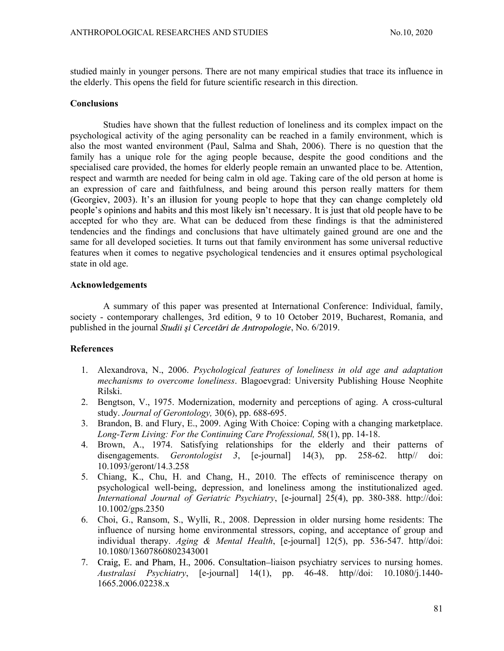studied mainly in younger persons. There are not many empirical studies that trace its influence in the elderly. This opens the field for future scientific research in this direction.

#### Conclusions

Studies have shown that the fullest reduction of loneliness and its complex impact on the psychological activity of the aging personality can be reached in a family environment, which is also the most wanted environment (Paul, Salma and Shah, 2006). There is no question that the family has a unique role for the aging people because, despite the good conditions and the specialised care provided, the homes for elderly people remain an unwanted place to be. Attention, respect and warmth are needed for being calm in old age. Taking care of the old person at home is an expression of care and faithfulness, and being around this person really matters for them (Georgiev, 2003). It's an illusion for young people to hope that they can change completely old people's opinions and habits and this most likely isn't necessary. It is just that old people have to be accepted for who they are. What can be deduced from these findings is that the administered tendencies and the findings and conclusions that have ultimately gained ground are one and the same for all developed societies. It turns out that family environment has some universal reductive features when it comes to negative psychological tendencies and it ensures optimal psychological state in old age.

## Acknowledgements

A summary of this paper was presented at International Conference: Individual, family, society - contemporary challenges, 3rd edition, 9 to 10 October 2019, Bucharest, Romania, and published in the journal *Studii și Cercetări de Antropologie*, No. 6/2019.

### References

- 1. Alexandrova, N., 2006. Psychological features of loneliness in old age and adaptation mechanisms to overcome loneliness. Blagoevgrad: University Publishing House Neophite Rilski.
- 2. Bengtson, V., 1975. Modernization, modernity and perceptions of aging. A cross-cultural study. Journal of Gerontology, 30(6), pp. 688-695.
- 3. Brandon, B. and Flury, E., 2009. Aging With Choice: Coping with a changing marketplace. Long-Term Living: For the Continuing Care Professional, 58(1), pp. 14-18.
- 4. Brown, A., 1974. Satisfying relationships for the elderly and their patterns of disengagements. Gerontologist 3,  $[e$ -journal  $]$  14(3), pp. 258-62. http:// doi: 10.1093/geront/14.3.258
- 5. Chiang, K., Chu, H. and Chang, H., 2010. The effects of reminiscence therapy on psychological well-being, depression, and loneliness among the institutionalized aged. International Journal of Geriatric Psychiatry, [e-journal] 25(4), pp. 380-388. http://doi: 10.1002/gps.2350
- 6. Choi, G., Ransom, S., Wylli, R., 2008. Depression in older nursing home residents: The influence of nursing home environmental stressors, coping, and acceptance of group and individual therapy. Aging & Mental Health,  $[e$ -journal  $[12(5),$  pp. 536-547. http://doi: 10.1080/13607860802343001
- 7. Craig, E. and Pham, H., 2006. Consultation–liaison psychiatry services to nursing homes. Australasi Psychiatry, [e-journal] 14(1), pp. 46-48. http//doi: 10.1080/j.1440- 1665.2006.02238.x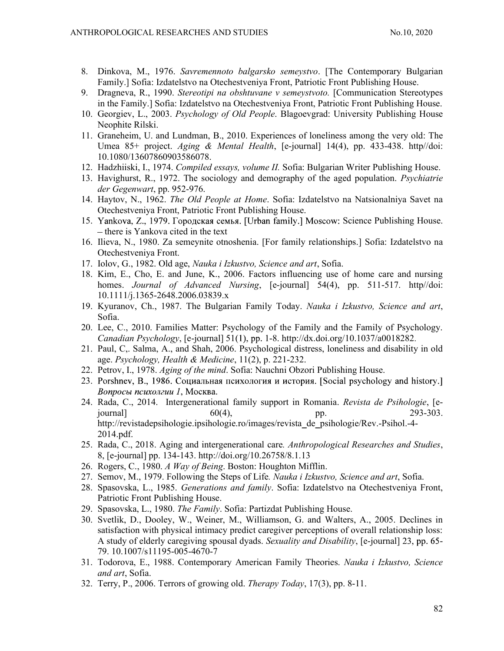- 8. Dinkova, M., 1976. Savremennoto balgarsko semeystvo. [The Contemporary Bulgarian Family.] Sofia: Izdatelstvo na Otechestveniya Front, Patriotic Front Publishing House.
- 9. Dragneva, R., 1990. Stereotipi na obshtuvane v semeystvoto. [Communication Stereotypes in the Family.] Sofia: Izdatelstvo na Otechestveniya Front, Patriotic Front Publishing House.
- 10. Georgiev, L., 2003. Psychology of Old People. Blagoevgrad: University Publishing House Neophite Rilski.
- 11. Graneheim, U. and Lundman, B., 2010. Experiences of loneliness among the very old: The Umea 85+ project. Aging & Mental Health, [e-journal] 14(4), pp. 433-438. http//doi: 10.1080/13607860903586078.
- 12. Hadzhiiski, I., 1974. Compiled essays, volume II. Sofia: Bulgarian Writer Publishing House.
- 13. Havighurst, R., 1972. The sociology and demography of the aged population. Psychiatrie der Gegenwart, pp. 952-976.
- 14. Haytov, N., 1962. The Old People at Home. Sofia: Izdatelstvo na Natsionalniya Savet na Otechestveniya Front, Patriotic Front Publishing House.
- 15. Yankova, Z., 1979. Городская семья. [Urban family.] Moscow: Science Publishing House.  $-$  there is Yankova cited in the text
- 16. Ilieva, N., 1980. Za semeynite otnoshenia. [For family relationships.] Sofia: Izdatelstvo na Otechestveniya Front.
- 17. Iolov, G., 1982. Old age, Nauka i Izkustvo, Science and art, Sofia.
- 18. Kim, E., Cho, E. and June, K., 2006. Factors influencing use of home care and nursing homes. *Journal of Advanced Nursing*, [e-journal] 54(4), pp. 511-517. http//doi: 10.1111/j.1365-2648.2006.03839.x
- 19. Kyuranov, Ch., 1987. The Bulgarian Family Today. Nauka i Izkustvo, Science and art, Sofia.
- 20. Lee, C., 2010. Families Matter: Psychology of the Family and the Family of Psychology. Canadian Psychology,  $[e$ -journal] 51(1), pp. 1-8. http://dx.doi.org/10.1037/a0018282.
- 21. Paul, C,. Salma, A., and Shah, 2006. Psychological distress, loneliness and disability in old age. Psychology, Health & Medicine, 11(2), p. 221-232.
- 22. Petrov, I., 1978. Aging of the mind. Sofia: Nauchni Obzori Publishing House.
- 23. Porshnev, B., 1986. Социальная психология и история. [Social psychology and history.] Вопросы психолгии 1, Москва.
- 24. Rada, C., 2014. Intergenerational family support in Romania. Revista de Psihologie, [e- $[500]$   $[60]$ ,  $[60]$ ,  $[60]$ ,  $[60]$ ,  $[60]$ ,  $[60]$ ,  $[60]$ ,  $[60]$ ,  $[60]$ ,  $[60]$ ,  $[60]$ ,  $[60]$ ,  $[60]$ ,  $[60]$ ,  $[60]$ ,  $[60]$ ,  $[60]$ ,  $[60]$ ,  $[60]$ ,  $[60]$ ,  $[60]$ ,  $[60]$ ,  $[60]$ ,  $[60]$ ,  $[60]$ ,  $[60]$ ,  $[60]$ http://revistadepsihologie.ipsihologie.ro/images/revista\_de\_psihologie/Rev.-Psihol.-4- 2014.pdf.
- 25. Rada, C., 2018. Aging and intergenerational care. Anthropological Researches and Studies, 8, [e-journal] pp. 134-143. http://doi.org/10.26758/8.1.13 26. Rogers, C., 1980. A Way of Being. Boston: Houghton Mifflin.
- 
- 27. Semov, M., 1979. Following the Steps of Life. Nauka i Izkustvo, Science and art, Sofia.
- 28. Spasovska, L., 1985. Generations and family. Sofia: Izdatelstvo na Otechestveniya Front, Patriotic Front Publishing House.
- 29. Spasovska, L., 1980. The Family. Sofia: Partizdat Publishing House.
- 30. Svetlik, D., Dooley, W., Weiner, M., Williamson, G. and Walters, A., 2005. Declines in satisfaction with physical intimacy predict caregiver perceptions of overall relationship loss: A study of elderly caregiving spousal dyads. Sexuality and Disability, [e-journal] 23, pp. 65-79. 10.1007/s11195-005-4670-7
- 31. Todorova, E., 1988. Contemporary American Family Theories. Nauka i Izkustvo, Science and art, Sofia.
- 32. Terry, P., 2006. Terrors of growing old. Therapy Today, 17(3), pp. 8-11.